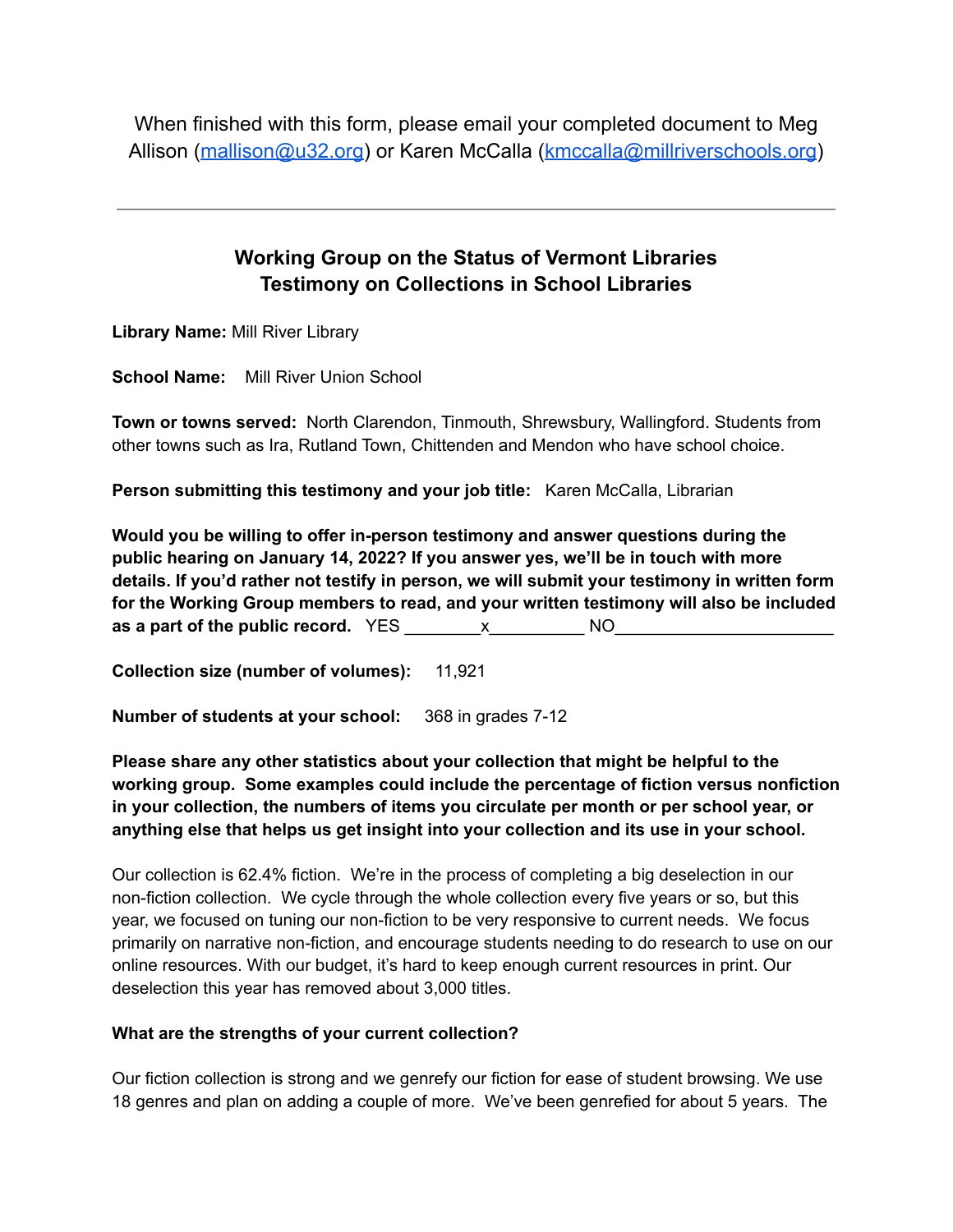When finished with this form, please email your completed document to Meg Allison ([mallison@u32.org\)](mailto:mallison@u32.org) or Karen McCalla [\(kmccalla@millriverschools.org](mailto:kmccalla@millriverschools.org))

# **Working Group on the Status of Vermont Libraries Testimony on Collections in School Libraries**

**Library Name:** Mill River Library

**School Name:** Mill River Union School

**Town or towns served:** North Clarendon, Tinmouth, Shrewsbury, Wallingford. Students from other towns such as Ira, Rutland Town, Chittenden and Mendon who have school choice.

**Person submitting this testimony and your job title:** Karen McCalla, Librarian

**Would you be willing to offer in-person testimony and answer questions during the public hearing on January 14, 2022? If you answer yes, we'll be in touch with more details. If you'd rather not testify in person, we will submit your testimony in written form for the Working Group members to read, and your written testimony will also be included as a part of the public record.** YES \_\_\_\_\_\_\_\_x\_\_\_\_\_\_\_\_\_\_ NO\_\_\_\_\_\_\_\_\_\_\_\_\_\_\_\_\_\_\_\_\_\_\_

**Collection size (number of volumes):** 11,921

**Number of students at your school:** 368 in grades 7-12

**Please share any other statistics about your collection that might be helpful to the working group. Some examples could include the percentage of fiction versus nonfiction in your collection, the numbers of items you circulate per month or per school year, or anything else that helps us get insight into your collection and its use in your school.**

Our collection is 62.4% fiction. We're in the process of completing a big deselection in our non-fiction collection. We cycle through the whole collection every five years or so, but this year, we focused on tuning our non-fiction to be very responsive to current needs. We focus primarily on narrative non-fiction, and encourage students needing to do research to use on our online resources. With our budget, it's hard to keep enough current resources in print. Our deselection this year has removed about 3,000 titles.

#### **What are the strengths of your current collection?**

Our fiction collection is strong and we genrefy our fiction for ease of student browsing. We use 18 genres and plan on adding a couple of more. We've been genrefied for about 5 years. The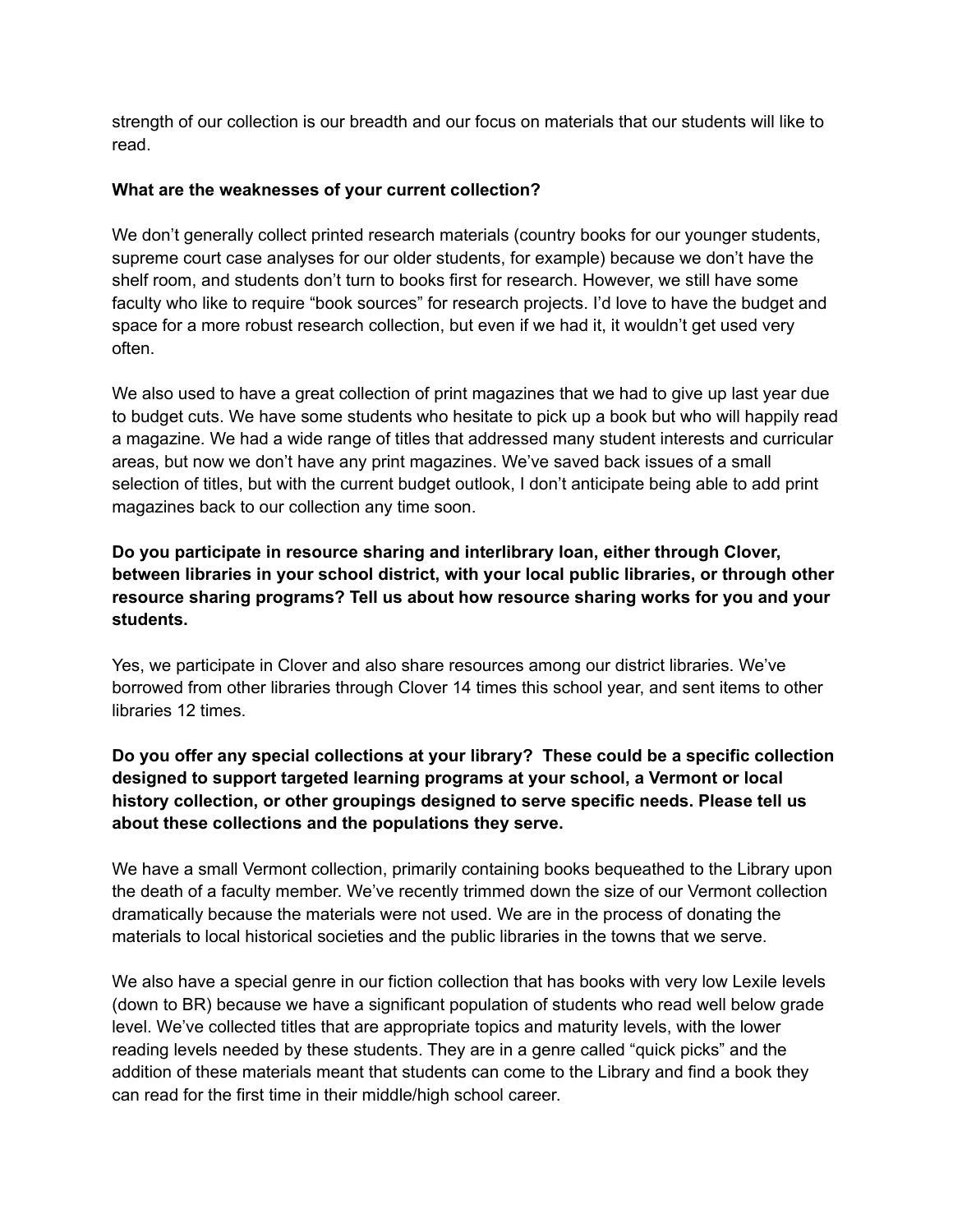strength of our collection is our breadth and our focus on materials that our students will like to read.

#### **What are the weaknesses of your current collection?**

We don't generally collect printed research materials (country books for our younger students, supreme court case analyses for our older students, for example) because we don't have the shelf room, and students don't turn to books first for research. However, we still have some faculty who like to require "book sources" for research projects. I'd love to have the budget and space for a more robust research collection, but even if we had it, it wouldn't get used very often.

We also used to have a great collection of print magazines that we had to give up last year due to budget cuts. We have some students who hesitate to pick up a book but who will happily read a magazine. We had a wide range of titles that addressed many student interests and curricular areas, but now we don't have any print magazines. We've saved back issues of a small selection of titles, but with the current budget outlook, I don't anticipate being able to add print magazines back to our collection any time soon.

**Do you participate in resource sharing and interlibrary loan, either through Clover, between libraries in your school district, with your local public libraries, or through other resource sharing programs? Tell us about how resource sharing works for you and your students.**

Yes, we participate in Clover and also share resources among our district libraries. We've borrowed from other libraries through Clover 14 times this school year, and sent items to other libraries 12 times.

**Do you offer any special collections at your library? These could be a specific collection designed to support targeted learning programs at your school, a Vermont or local history collection, or other groupings designed to serve specific needs. Please tell us about these collections and the populations they serve.**

We have a small Vermont collection, primarily containing books bequeathed to the Library upon the death of a faculty member. We've recently trimmed down the size of our Vermont collection dramatically because the materials were not used. We are in the process of donating the materials to local historical societies and the public libraries in the towns that we serve.

We also have a special genre in our fiction collection that has books with very low Lexile levels (down to BR) because we have a significant population of students who read well below grade level. We've collected titles that are appropriate topics and maturity levels, with the lower reading levels needed by these students. They are in a genre called "quick picks" and the addition of these materials meant that students can come to the Library and find a book they can read for the first time in their middle/high school career.